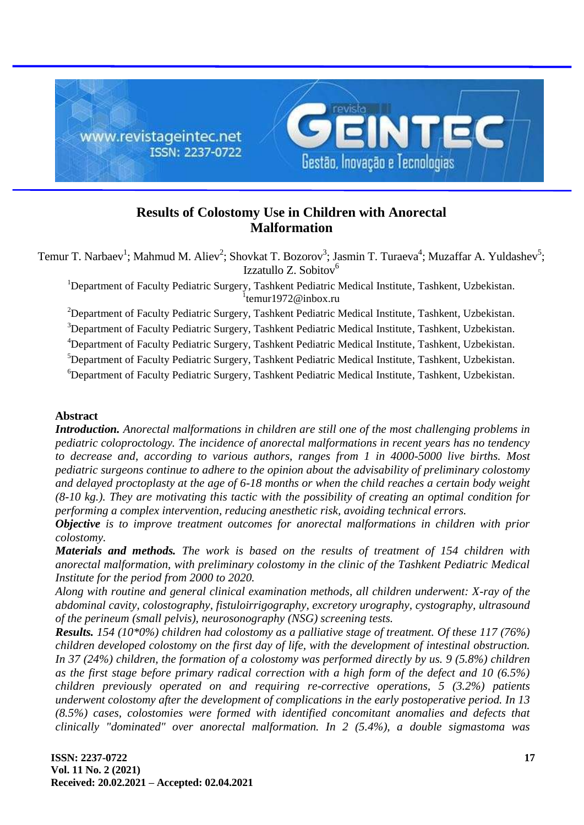

# **Results of Colostomy Use in Children with Anorectal Malformation**

Temur T. Narbaev<sup>1</sup>; Mahmud M. Aliev<sup>2</sup>; Shovkat T. Bozorov<sup>3</sup>; Jasmin T. Turaeva<sup>4</sup>; Muzaffar A. Yuldashev<sup>5</sup>; Izzatullo Z. Sobitov<sup>6</sup>

<sup>1</sup>Department of Faculty Pediatric Surgery, Tashkent Pediatric Medical Institute, Tashkent, Uzbekistan. <sup>1</sup>temur1972@inbox.ru

<sup>2</sup>Department of Faculty Pediatric Surgery, Tashkent Pediatric Medical Institute, Tashkent, Uzbekistan.

<sup>3</sup>Department of Faculty Pediatric Surgery, Tashkent Pediatric Medical Institute, Tashkent, Uzbekistan.

<sup>4</sup>Department of Faculty Pediatric Surgery, Tashkent Pediatric Medical Institute, Tashkent, Uzbekistan.

<sup>5</sup>Department of Faculty Pediatric Surgery, Tashkent Pediatric Medical Institute, Tashkent, Uzbekistan.

<sup>6</sup>Department of Faculty Pediatric Surgery, Tashkent Pediatric Medical Institute, Tashkent, Uzbekistan.

#### **Abstract**

*Introduction. Anorectal malformations in children are still one of the most challenging problems in pediatric coloproctology. The incidence of anorectal malformations in recent years has no tendency to decrease and, according to various authors, ranges from 1 in 4000-5000 live births. Most pediatric surgeons continue to adhere to the opinion about the advisability of preliminary colostomy and delayed proctoplasty at the age of 6-18 months or when the child reaches a certain body weight (8-10 kg.). They are motivating this tactic with the possibility of creating an optimal condition for performing a complex intervention, reducing anesthetic risk, avoiding technical errors.*

*Objective is to improve treatment outcomes for anorectal malformations in children with prior colostomy.*

*Materials and methods. The work is based on the results of treatment of 154 children with anorectal malformation, with preliminary colostomy in the clinic of the Tashkent Pediatric Medical Institute for the period from 2000 to 2020.*

*Along with routine and general clinical examination methods, all children underwent: X-ray of the abdominal cavity, colostography, fistuloirrigography, excretory urography, cystography, ultrasound of the perineum (small pelvis), neurosonography (NSG) screening tests.*

*Results. 154 (10\*0%) children had colostomy as a palliative stage of treatment. Of these 117 (76%) children developed colostomy on the first day of life, with the development of intestinal obstruction. In 37 (24%) children, the formation of a colostomy was performed directly by us. 9 (5.8%) children as the first stage before primary radical correction with a high form of the defect and 10 (6.5%) children previously operated on and requiring re-corrective operations, 5 (3.2%) patients underwent colostomy after the development of complications in the early postoperative period. In 13 (8.5%) cases, colostomies were formed with identified concomitant anomalies and defects that clinically "dominated" over anorectal malformation. In 2 (5.4%), a double sigmastoma was*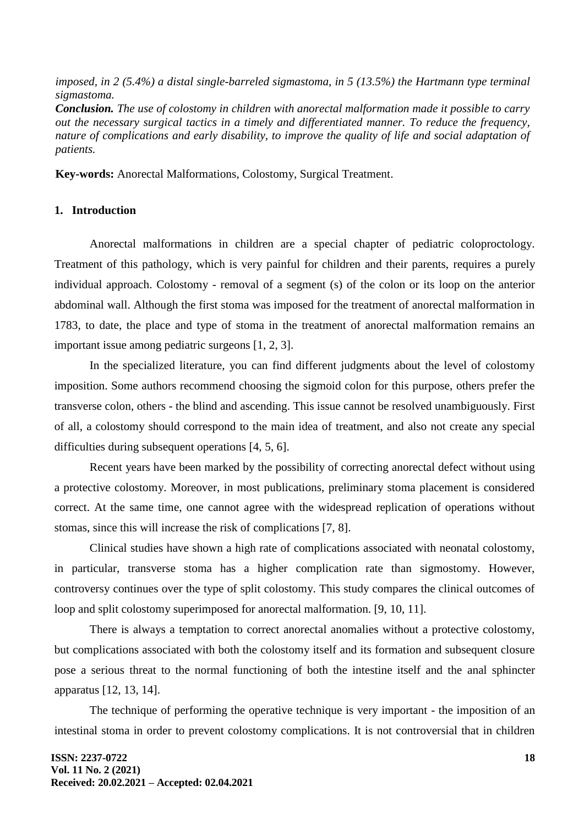*imposed, in 2 (5.4%) a distal single-barreled sigmastoma, in 5 (13.5%) the Hartmann type terminal sigmastoma.*

*Conclusion. The use of colostomy in children with anorectal malformation made it possible to carry out the necessary surgical tactics in a timely and differentiated manner. To reduce the frequency, nature of complications and early disability, to improve the quality of life and social adaptation of patients.*

**Key-words:** Anorectal Malformations, Colostomy, Surgical Treatment.

### **1. Introduction**

Anorectal malformations in children are a special chapter of pediatric coloproctology. Treatment of this pathology, which is very painful for children and their parents, requires a purely individual approach. Colostomy - removal of a segment (s) of the colon or its loop on the anterior abdominal wall. Although the first stoma was imposed for the treatment of anorectal malformation in 1783, to date, the place and type of stoma in the treatment of anorectal malformation remains an important issue among pediatric surgeons [1, 2, 3].

In the specialized literature, you can find different judgments about the level of colostomy imposition. Some authors recommend choosing the sigmoid colon for this purpose, others prefer the transverse colon, others - the blind and ascending. This issue cannot be resolved unambiguously. First of all, a colostomy should correspond to the main idea of treatment, and also not create any special difficulties during subsequent operations [4, 5, 6].

Recent years have been marked by the possibility of correcting anorectal defect without using a protective colostomy. Moreover, in most publications, preliminary stoma placement is considered correct. At the same time, one cannot agree with the widespread replication of operations without stomas, since this will increase the risk of complications [7, 8].

Clinical studies have shown a high rate of complications associated with neonatal colostomy, in particular, transverse stoma has a higher complication rate than sigmostomy. However, controversy continues over the type of split colostomy. This study compares the clinical outcomes of loop and split colostomy superimposed for anorectal malformation. [9, 10, 11].

There is always a temptation to correct anorectal anomalies without a protective colostomy, but complications associated with both the colostomy itself and its formation and subsequent closure pose a serious threat to the normal functioning of both the intestine itself and the anal sphincter apparatus [12, 13, 14].

The technique of performing the operative technique is very important - the imposition of an intestinal stoma in order to prevent colostomy complications. It is not controversial that in children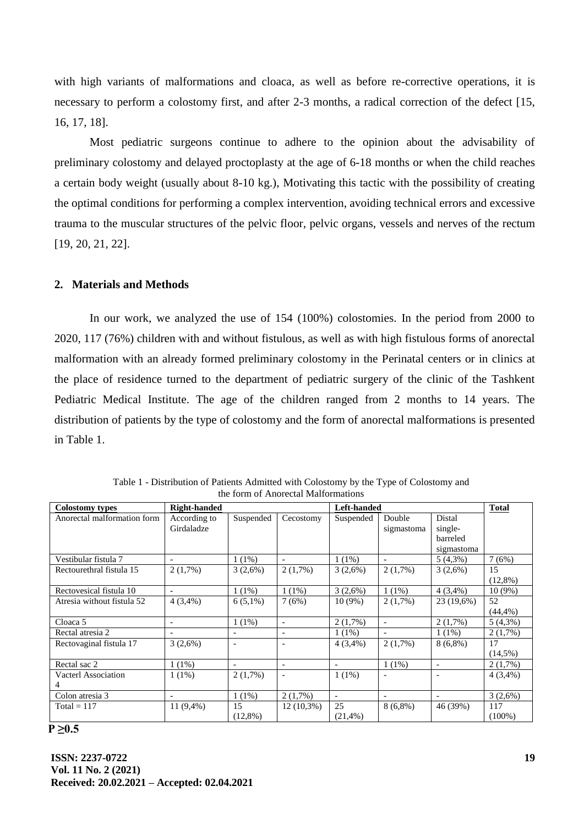with high variants of malformations and cloaca, as well as before re-corrective operations, it is necessary to perform a colostomy first, and after 2-3 months, a radical correction of the defect [15, 16, 17, 18].

Most pediatric surgeons continue to adhere to the opinion about the advisability of preliminary colostomy and delayed proctoplasty at the age of 6-18 months or when the child reaches a certain body weight (usually about 8-10 kg.), Motivating this tactic with the possibility of creating the optimal conditions for performing a complex intervention, avoiding technical errors and excessive trauma to the muscular structures of the pelvic floor, pelvic organs, vessels and nerves of the rectum [19, 20, 21, 22].

#### **2. Materials and Methods**

In our work, we analyzed the use of 154 (100%) colostomies. In the period from 2000 to 2020, 117 (76%) children with and without fistulous, as well as with high fistulous forms of anorectal malformation with an already formed preliminary colostomy in the Perinatal centers or in clinics at the place of residence turned to the department of pediatric surgery of the clinic of the Tashkent Pediatric Medical Institute. The age of the children ranged from 2 months to 14 years. The distribution of patients by the type of colostomy and the form of anorectal malformations is presented in Table 1.

| <b>Colostomy types</b>      | <b>Right-handed</b>      |                          |                          | Left-handed              |                          |                          | <b>Total</b> |
|-----------------------------|--------------------------|--------------------------|--------------------------|--------------------------|--------------------------|--------------------------|--------------|
| Anorectal malformation form | According to             | Suspended                | Cecostomy                | Suspended                | Double                   | Distal                   |              |
|                             | Girdaladze               |                          |                          |                          | sigmastoma               | single-                  |              |
|                             |                          |                          |                          |                          |                          | barreled                 |              |
|                             |                          |                          |                          |                          |                          | sigmastoma               |              |
| Vestibular fistula 7        |                          | $1(1\%)$                 | $\overline{\phantom{a}}$ | $1(1\%)$                 |                          | $5(4,3\%)$               | 7(6%)        |
| Rectourethral fistula 15    | $2(1,7\%)$               | 3(2,6%)                  | $2(1,7\%)$               | 3(2,6%)                  | $2(1,7\%)$               | 3(2,6%)                  | 15           |
|                             |                          |                          |                          |                          |                          |                          | $(12,8\%)$   |
| Rectovesical fistula 10     | $\overline{a}$           | $1(1\%)$                 | $1(1\%)$                 | 3(2,6%)                  | $1(1\%)$                 | $4(3,4\%)$               | $10(9\%)$    |
| Atresia without fistula 52  | $4(3,4\%)$               | $6(5,1\%)$               | 7(6%)                    | $10(9\%)$                | $2(1,7\%)$               | 23 (19,6%)               | 52           |
|                             |                          |                          |                          |                          |                          |                          | $(44, 4\%)$  |
| Cloaca 5                    | -                        | $1(1\%)$                 | $\overline{\phantom{a}}$ | $2(1,7\%)$               | $\overline{\phantom{a}}$ | $2(1,7\%)$               | $5(4,3\%)$   |
| Rectal atresia 2            |                          |                          | $\overline{\phantom{a}}$ | $1(1\%)$                 |                          | $1(1\%)$                 | $2(1,7\%)$   |
| Rectovaginal fistula 17     | 3(2,6%)                  | $\overline{\phantom{a}}$ | $\overline{\phantom{a}}$ | $4(3,4\%)$               | $2(1,7\%)$               | $8(6,8\%)$               | 17           |
|                             |                          |                          |                          |                          |                          |                          | $(14,5\%)$   |
| Rectal sac 2                | $1(1\%)$                 | $\overline{\phantom{a}}$ | $\overline{\phantom{a}}$ | $\overline{\phantom{a}}$ | $1(1\%)$                 | $\overline{\phantom{a}}$ | $2(1,7\%)$   |
| <b>Vacterl Association</b>  | $1(1\%)$                 | $2(1,7\%)$               | $\overline{\phantom{a}}$ | $1(1\%)$                 |                          | $\overline{\phantom{a}}$ | $4(3,4\%)$   |
|                             |                          |                          |                          |                          |                          |                          |              |
| Colon atresia 3             | $\overline{\phantom{0}}$ | $1(1\%)$                 | $2(1,7\%)$               | $\overline{\phantom{a}}$ | $\overline{\phantom{a}}$ | $\overline{\phantom{a}}$ | 3(2,6%)      |
| $Total = 117$               | $11(9,4\%)$              | 15                       | $12(10,3\%)$             | 25                       | $8(6,8\%)$               | 46 (39%)                 | 117          |
|                             |                          | $(12,8\%)$               |                          | (21,4% )                 |                          |                          | $(100\%)$    |

Table 1 - Distribution of Patients Admitted with Colostomy by the Type of Colostomy and the form of Anorectal Malformations

#### **P ≥0.5**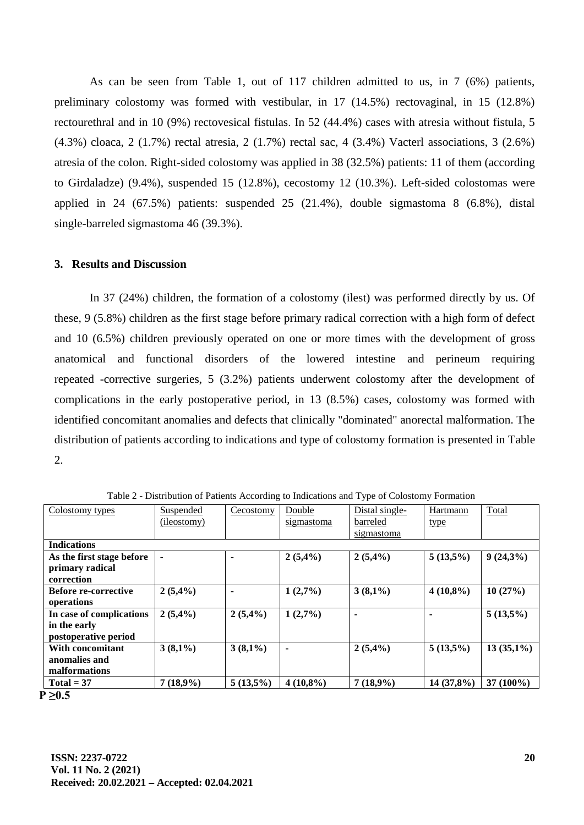As can be seen from Table 1, out of 117 children admitted to us, in 7 (6%) patients, preliminary colostomy was formed with vestibular, in 17 (14.5%) rectovaginal, in 15 (12.8%) rectourethral and in 10 (9%) rectovesical fistulas. In 52 (44.4%) cases with atresia without fistula, 5 (4.3%) cloaca, 2 (1.7%) rectal atresia, 2 (1.7%) rectal sac, 4 (3.4%) Vacterl associations, 3 (2.6%) atresia of the colon. Right-sided colostomy was applied in 38 (32.5%) patients: 11 of them (according to Girdaladze) (9.4%), suspended 15 (12.8%), cecostomy 12 (10.3%). Left-sided colostomas were applied in 24 (67.5%) patients: suspended 25 (21.4%), double sigmastoma 8 (6.8%), distal single-barreled sigmastoma 46 (39.3%).

#### **3. Results and Discussion**

In 37 (24%) children, the formation of a colostomy (ilest) was performed directly by us. Of these, 9 (5.8%) children as the first stage before primary radical correction with a high form of defect and 10 (6.5%) children previously operated on one or more times with the development of gross anatomical and functional disorders of the lowered intestine and perineum requiring repeated -corrective surgeries, 5 (3.2%) patients underwent colostomy after the development of complications in the early postoperative period, in 13 (8.5%) cases, colostomy was formed with identified concomitant anomalies and defects that clinically "dominated" anorectal malformation. The distribution of patients according to indications and type of colostomy formation is presented in Table 2.

| Colostomy types                                                  | Suspended<br>(ileostomy) | Cecostomy   | Double<br>sigmastoma | Distal single-<br>barreled<br>sigmastoma | Hartmann<br>type | Total        |  |
|------------------------------------------------------------------|--------------------------|-------------|----------------------|------------------------------------------|------------------|--------------|--|
| <b>Indications</b>                                               |                          |             |                      |                                          |                  |              |  |
| As the first stage before<br>primary radical<br>correction       |                          | ۰           | 2(5,4%)              | $2(5,4\%)$                               | $5(13,5\%)$      | $9(24,3\%)$  |  |
| <b>Before re-corrective</b><br>operations                        | $2(5,4\%)$               | ٠           | 1(2,7%)              | $3(8,1\%)$                               | $4(10,8\%)$      | 10(27%)      |  |
| In case of complications<br>in the early<br>postoperative period | $2(5,4\%)$               | $2(5,4\%)$  | 1(2,7%)              |                                          |                  | $5(13,5\%)$  |  |
| With concomitant<br>anomalies and<br>malformations               | $3(8,1\%)$               | $3(8,1\%)$  | ۰                    | $2(5,4\%)$                               | $5(13,5\%)$      | $13(35,1\%)$ |  |
| Total = $37$                                                     | 7(18,9%)                 | $5(13.5\%)$ | $4(10.8\%)$          | $7(18,9\%)$                              | $14(37.8\%)$     | $37(100\%)$  |  |

Table 2 - Distribution of Patients According to Indications and Type of Colostomy Formation

 $P ≥ 0.5$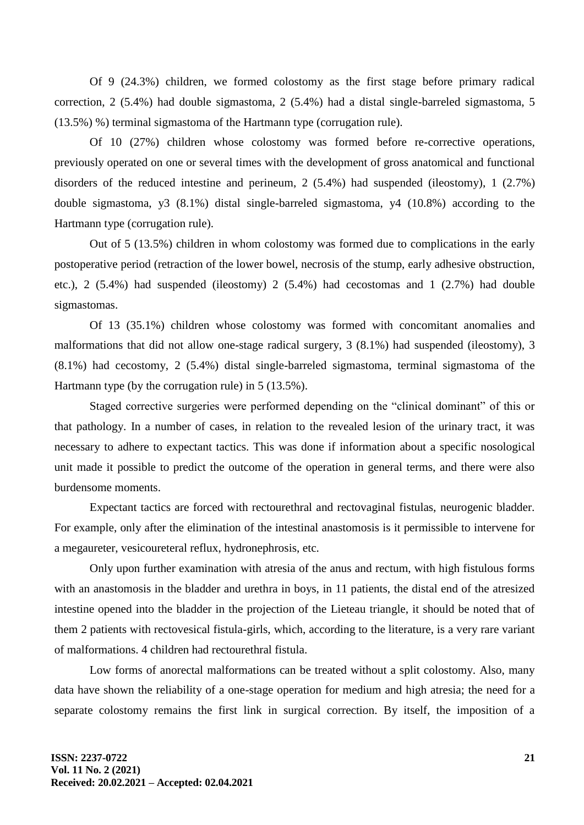Of 9 (24.3%) children, we formed colostomy as the first stage before primary radical correction, 2 (5.4%) had double sigmastoma, 2 (5.4%) had a distal single-barreled sigmastoma, 5 (13.5%) %) terminal sigmastoma of the Hartmann type (corrugation rule).

Of 10 (27%) children whose colostomy was formed before re-corrective operations, previously operated on one or several times with the development of gross anatomical and functional disorders of the reduced intestine and perineum, 2 (5.4%) had suspended (ileostomy), 1 (2.7%) double sigmastoma, y3 (8.1%) distal single-barreled sigmastoma, y4 (10.8%) according to the Hartmann type (corrugation rule).

Out of 5 (13.5%) children in whom colostomy was formed due to complications in the early postoperative period (retraction of the lower bowel, necrosis of the stump, early adhesive obstruction, etc.), 2 (5.4%) had suspended (ileostomy) 2 (5.4%) had cecostomas and 1 (2.7%) had double sigmastomas.

Of 13 (35.1%) children whose colostomy was formed with concomitant anomalies and malformations that did not allow one-stage radical surgery, 3 (8.1%) had suspended (ileostomy), 3 (8.1%) had cecostomy, 2 (5.4%) distal single-barreled sigmastoma, terminal sigmastoma of the Hartmann type (by the corrugation rule) in 5 (13.5%).

Staged corrective surgeries were performed depending on the "clinical dominant" of this or that pathology. In a number of cases, in relation to the revealed lesion of the urinary tract, it was necessary to adhere to expectant tactics. This was done if information about a specific nosological unit made it possible to predict the outcome of the operation in general terms, and there were also burdensome moments.

Expectant tactics are forced with rectourethral and rectovaginal fistulas, neurogenic bladder. For example, only after the elimination of the intestinal anastomosis is it permissible to intervene for a megaureter, vesicoureteral reflux, hydronephrosis, etc.

Only upon further examination with atresia of the anus and rectum, with high fistulous forms with an anastomosis in the bladder and urethra in boys, in 11 patients, the distal end of the atresized intestine opened into the bladder in the projection of the Lieteau triangle, it should be noted that of them 2 patients with rectovesical fistula-girls, which, according to the literature, is a very rare variant of malformations. 4 children had rectourethral fistula.

Low forms of anorectal malformations can be treated without a split colostomy. Also, many data have shown the reliability of a one-stage operation for medium and high atresia; the need for a separate colostomy remains the first link in surgical correction. By itself, the imposition of a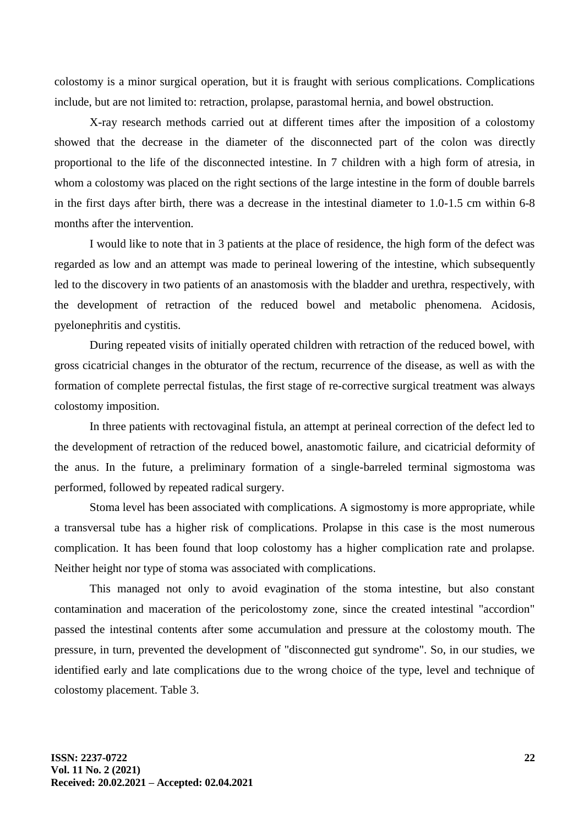colostomy is a minor surgical operation, but it is fraught with serious complications. Complications include, but are not limited to: retraction, prolapse, parastomal hernia, and bowel obstruction.

X-ray research methods carried out at different times after the imposition of a colostomy showed that the decrease in the diameter of the disconnected part of the colon was directly proportional to the life of the disconnected intestine. In 7 children with a high form of atresia, in whom a colostomy was placed on the right sections of the large intestine in the form of double barrels in the first days after birth, there was a decrease in the intestinal diameter to 1.0-1.5 cm within 6-8 months after the intervention.

I would like to note that in 3 patients at the place of residence, the high form of the defect was regarded as low and an attempt was made to perineal lowering of the intestine, which subsequently led to the discovery in two patients of an anastomosis with the bladder and urethra, respectively, with the development of retraction of the reduced bowel and metabolic phenomena. Acidosis, pyelonephritis and cystitis.

During repeated visits of initially operated children with retraction of the reduced bowel, with gross cicatricial changes in the obturator of the rectum, recurrence of the disease, as well as with the formation of complete perrectal fistulas, the first stage of re-corrective surgical treatment was always colostomy imposition.

In three patients with rectovaginal fistula, an attempt at perineal correction of the defect led to the development of retraction of the reduced bowel, anastomotic failure, and cicatricial deformity of the anus. In the future, a preliminary formation of a single-barreled terminal sigmostoma was performed, followed by repeated radical surgery.

Stoma level has been associated with complications. A sigmostomy is more appropriate, while a transversal tube has a higher risk of complications. Prolapse in this case is the most numerous complication. It has been found that loop colostomy has a higher complication rate and prolapse. Neither height nor type of stoma was associated with complications.

This managed not only to avoid evagination of the stoma intestine, but also constant contamination and maceration of the pericolostomy zone, since the created intestinal "accordion" passed the intestinal contents after some accumulation and pressure at the colostomy mouth. The pressure, in turn, prevented the development of "disconnected gut syndrome". So, in our studies, we identified early and late complications due to the wrong choice of the type, level and technique of colostomy placement. Table 3.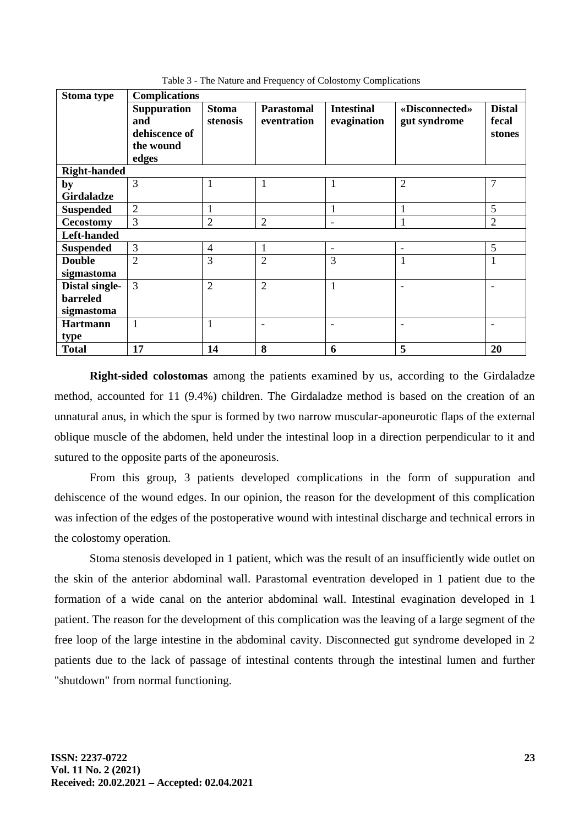| <b>Stoma type</b>   | <b>Complications</b>                                             |                          |                                  |                                  |                                |                                  |  |  |
|---------------------|------------------------------------------------------------------|--------------------------|----------------------------------|----------------------------------|--------------------------------|----------------------------------|--|--|
|                     | <b>Suppuration</b><br>and<br>dehiscence of<br>the wound<br>edges | <b>Stoma</b><br>stenosis | <b>Parastomal</b><br>eventration | <b>Intestinal</b><br>evagination | «Disconnected»<br>gut syndrome | <b>Distal</b><br>fecal<br>stones |  |  |
| <b>Right-handed</b> |                                                                  |                          |                                  |                                  |                                |                                  |  |  |
| by                  | 3                                                                | 1                        | 1                                | 1                                | $\overline{2}$                 | $\overline{7}$                   |  |  |
| <b>Girdaladze</b>   |                                                                  |                          |                                  |                                  |                                |                                  |  |  |
| <b>Suspended</b>    | $\overline{2}$                                                   | $\mathbf{1}$             |                                  | 1                                |                                | 5                                |  |  |
| <b>Cecostomy</b>    | 3                                                                | $\overline{2}$           | $\overline{2}$                   | -                                | 1                              | $\overline{2}$                   |  |  |
| Left-handed         |                                                                  |                          |                                  |                                  |                                |                                  |  |  |
| <b>Suspended</b>    | 3                                                                | $\overline{4}$           | $\mathbf{1}$                     | $\overline{\phantom{a}}$         | $\overline{\phantom{a}}$       | 5                                |  |  |
| <b>Double</b>       | $\overline{2}$                                                   | 3                        | $\overline{2}$                   | 3                                | 1                              | 1                                |  |  |
| sigmastoma          |                                                                  |                          |                                  |                                  |                                |                                  |  |  |
| Distal single-      | 3                                                                | $\overline{2}$           | $\overline{2}$                   | 1                                |                                |                                  |  |  |
| barreled            |                                                                  |                          |                                  |                                  |                                |                                  |  |  |
| sigmastoma          |                                                                  |                          |                                  |                                  |                                |                                  |  |  |
| <b>Hartmann</b>     | $\mathbf{1}$                                                     | $\mathbf{1}$             | $\overline{\phantom{a}}$         |                                  |                                |                                  |  |  |
| type                |                                                                  |                          |                                  |                                  |                                |                                  |  |  |
| <b>Total</b>        | 17                                                               | 14                       | 8                                | 6                                | 5                              | 20                               |  |  |

Table 3 - The Nature and Frequency of Colostomy Complications

**Right-sided colostomas** among the patients examined by us, according to the Girdaladze method, accounted for 11 (9.4%) children. The Girdaladze method is based on the creation of an unnatural anus, in which the spur is formed by two narrow muscular-aponeurotic flaps of the external oblique muscle of the abdomen, held under the intestinal loop in a direction perpendicular to it and sutured to the opposite parts of the aponeurosis.

From this group, 3 patients developed complications in the form of suppuration and dehiscence of the wound edges. In our opinion, the reason for the development of this complication was infection of the edges of the postoperative wound with intestinal discharge and technical errors in the colostomy operation.

Stoma stenosis developed in 1 patient, which was the result of an insufficiently wide outlet on the skin of the anterior abdominal wall. Parastomal eventration developed in 1 patient due to the formation of a wide canal on the anterior abdominal wall. Intestinal evagination developed in 1 patient. The reason for the development of this complication was the leaving of a large segment of the free loop of the large intestine in the abdominal cavity. Disconnected gut syndrome developed in 2 patients due to the lack of passage of intestinal contents through the intestinal lumen and further "shutdown" from normal functioning.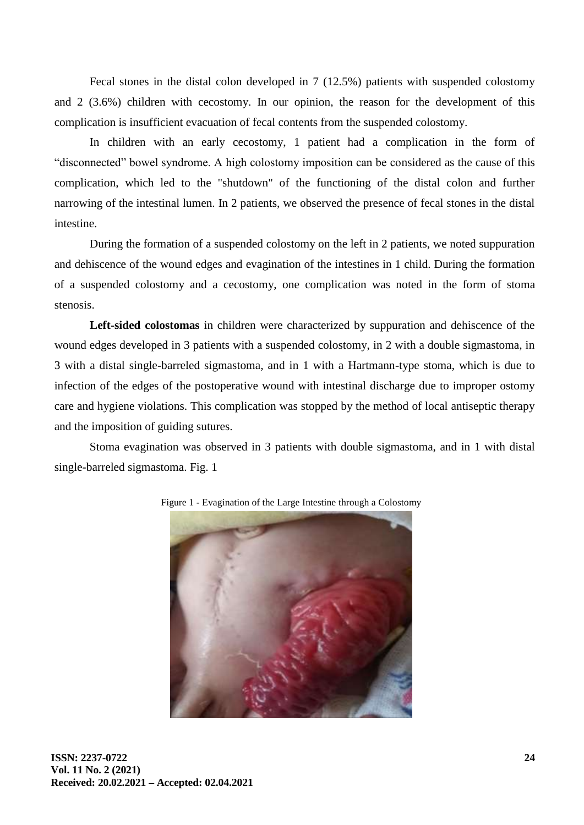Fecal stones in the distal colon developed in 7 (12.5%) patients with suspended colostomy and 2 (3.6%) children with cecostomy. In our opinion, the reason for the development of this complication is insufficient evacuation of fecal contents from the suspended colostomy.

In children with an early cecostomy, 1 patient had a complication in the form of "disconnected" bowel syndrome. A high colostomy imposition can be considered as the cause of this complication, which led to the "shutdown" of the functioning of the distal colon and further narrowing of the intestinal lumen. In 2 patients, we observed the presence of fecal stones in the distal intestine.

During the formation of a suspended colostomy on the left in 2 patients, we noted suppuration and dehiscence of the wound edges and evagination of the intestines in 1 child. During the formation of a suspended colostomy and a cecostomy, one complication was noted in the form of stoma stenosis.

**Left-sided colostomas** in children were characterized by suppuration and dehiscence of the wound edges developed in 3 patients with a suspended colostomy, in 2 with a double sigmastoma, in 3 with a distal single-barreled sigmastoma, and in 1 with a Hartmann-type stoma, which is due to infection of the edges of the postoperative wound with intestinal discharge due to improper ostomy care and hygiene violations. This complication was stopped by the method of local antiseptic therapy and the imposition of guiding sutures.

Stoma evagination was observed in 3 patients with double sigmastoma, and in 1 with distal single-barreled sigmastoma. Fig. 1



Figure 1 - Evagination of the Large Intestine through a Colostomy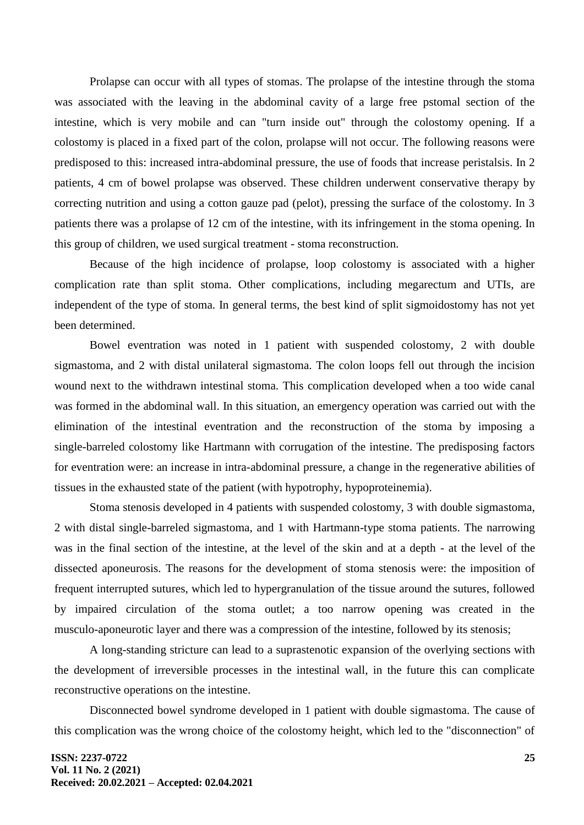Prolapse can occur with all types of stomas. The prolapse of the intestine through the stoma was associated with the leaving in the abdominal cavity of a large free pstomal section of the intestine, which is very mobile and can "turn inside out" through the colostomy opening. If a colostomy is placed in a fixed part of the colon, prolapse will not occur. The following reasons were predisposed to this: increased intra-abdominal pressure, the use of foods that increase peristalsis. In 2 patients, 4 cm of bowel prolapse was observed. These children underwent conservative therapy by correcting nutrition and using a cotton gauze pad (pelot), pressing the surface of the colostomy. In 3 patients there was a prolapse of 12 cm of the intestine, with its infringement in the stoma opening. In this group of children, we used surgical treatment - stoma reconstruction.

Because of the high incidence of prolapse, loop colostomy is associated with a higher complication rate than split stoma. Other complications, including megarectum and UTIs, are independent of the type of stoma. In general terms, the best kind of split sigmoidostomy has not yet been determined.

Bowel eventration was noted in 1 patient with suspended colostomy, 2 with double sigmastoma, and 2 with distal unilateral sigmastoma. The colon loops fell out through the incision wound next to the withdrawn intestinal stoma. This complication developed when a too wide canal was formed in the abdominal wall. In this situation, an emergency operation was carried out with the elimination of the intestinal eventration and the reconstruction of the stoma by imposing a single-barreled colostomy like Hartmann with corrugation of the intestine. The predisposing factors for eventration were: an increase in intra-abdominal pressure, a change in the regenerative abilities of tissues in the exhausted state of the patient (with hypotrophy, hypoproteinemia).

Stoma stenosis developed in 4 patients with suspended colostomy, 3 with double sigmastoma, 2 with distal single-barreled sigmastoma, and 1 with Hartmann-type stoma patients. The narrowing was in the final section of the intestine, at the level of the skin and at a depth - at the level of the dissected aponeurosis. The reasons for the development of stoma stenosis were: the imposition of frequent interrupted sutures, which led to hypergranulation of the tissue around the sutures, followed by impaired circulation of the stoma outlet; a too narrow opening was created in the musculo-aponeurotic layer and there was a compression of the intestine, followed by its stenosis;

A long-standing stricture can lead to a suprastenotic expansion of the overlying sections with the development of irreversible processes in the intestinal wall, in the future this can complicate reconstructive operations on the intestine.

Disconnected bowel syndrome developed in 1 patient with double sigmastoma. The cause of this complication was the wrong choice of the colostomy height, which led to the "disconnection" of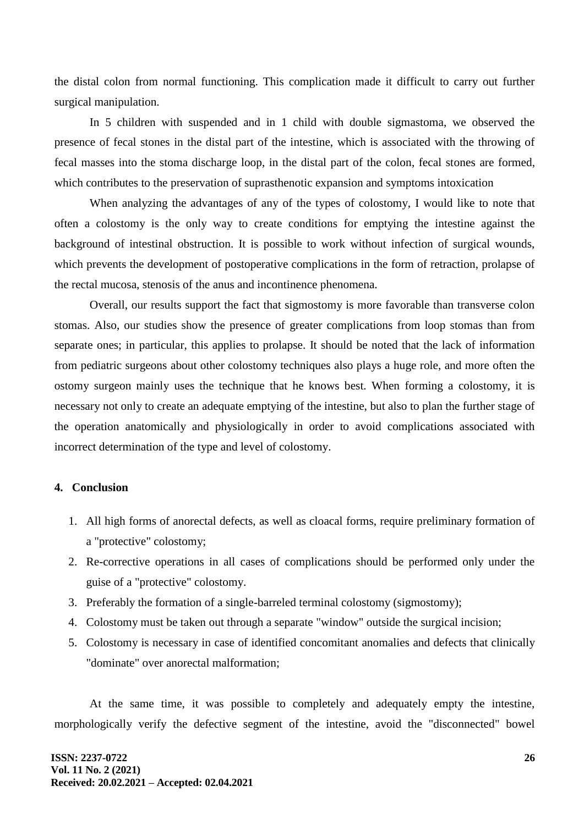the distal colon from normal functioning. This complication made it difficult to carry out further surgical manipulation.

In 5 children with suspended and in 1 child with double sigmastoma, we observed the presence of fecal stones in the distal part of the intestine, which is associated with the throwing of fecal masses into the stoma discharge loop, in the distal part of the colon, fecal stones are formed, which contributes to the preservation of suprasthenotic expansion and symptoms intoxication

When analyzing the advantages of any of the types of colostomy, I would like to note that often a colostomy is the only way to create conditions for emptying the intestine against the background of intestinal obstruction. It is possible to work without infection of surgical wounds, which prevents the development of postoperative complications in the form of retraction, prolapse of the rectal mucosa, stenosis of the anus and incontinence phenomena.

Overall, our results support the fact that sigmostomy is more favorable than transverse colon stomas. Also, our studies show the presence of greater complications from loop stomas than from separate ones; in particular, this applies to prolapse. It should be noted that the lack of information from pediatric surgeons about other colostomy techniques also plays a huge role, and more often the ostomy surgeon mainly uses the technique that he knows best. When forming a colostomy, it is necessary not only to create an adequate emptying of the intestine, but also to plan the further stage of the operation anatomically and physiologically in order to avoid complications associated with incorrect determination of the type and level of colostomy.

### **4. Conclusion**

- 1. All high forms of anorectal defects, as well as cloacal forms, require preliminary formation of a "protective" colostomy;
- 2. Re-corrective operations in all cases of complications should be performed only under the guise of a "protective" colostomy.
- 3. Preferably the formation of a single-barreled terminal colostomy (sigmostomy);
- 4. Colostomy must be taken out through a separate "window" outside the surgical incision;
- 5. Colostomy is necessary in case of identified concomitant anomalies and defects that clinically "dominate" over anorectal malformation;

At the same time, it was possible to completely and adequately empty the intestine, morphologically verify the defective segment of the intestine, avoid the "disconnected" bowel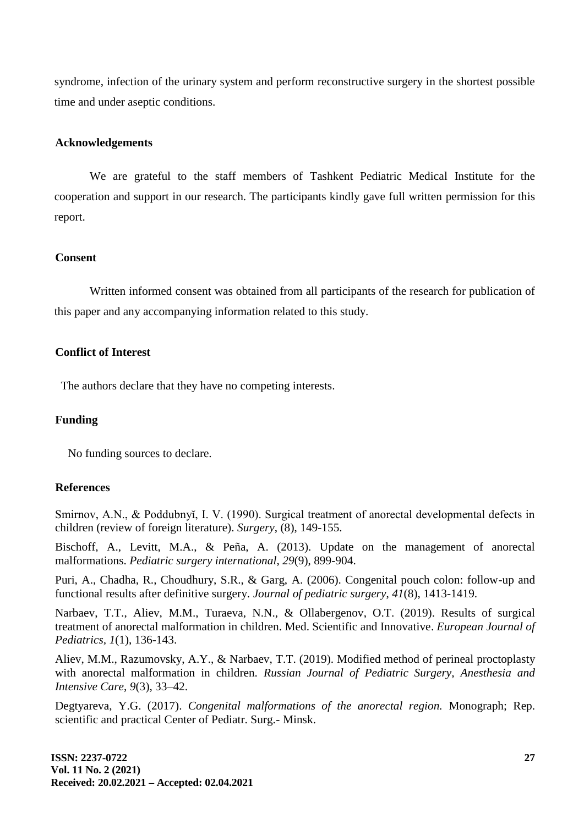syndrome, infection of the urinary system and perform reconstructive surgery in the shortest possible time and under aseptic conditions.

#### **Acknowledgements**

We are grateful to the staff members of Tashkent Pediatric Medical Institute for the cooperation and support in our research. The participants kindly gave full written permission for this report.

#### **Consent**

Written informed consent was obtained from all participants of the research for publication of this paper and any accompanying information related to this study.

# **Conflict of Interest**

The authors declare that they have no competing interests.

# **Funding**

No funding sources to declare.

### **References**

Smirnov, A.N., & Poddubnyĭ, I. V. (1990). Surgical treatment of anorectal developmental defects in children (review of foreign literature). *Surgery*, (8), 149-155.

Bischoff, A., Levitt, M.A., & Peña, A. (2013). Update on the management of anorectal malformations. *Pediatric surgery international*, *29*(9), 899-904.

Puri, A., Chadha, R., Choudhury, S.R., & Garg, A. (2006). Congenital pouch colon: follow-up and functional results after definitive surgery. *Journal of pediatric surgery*, *41*(8), 1413-1419.

Narbaev, T.T., Aliev, M.M., Turaeva, N.N., & Ollabergenov, O.T. (2019). Results of surgical treatment of anorectal malformation in children. Med. Scientific and Innovative. *European Journal of Pediatrics, 1*(1), 136-143.

Aliev, M.M., Razumovsky, A.Y., & Narbaev, T.T. (2019). Modified method of perineal proctoplasty with anorectal malformation in children. *Russian Journal of Pediatric Surgery, Anesthesia and Intensive Care*, *9*(3), 33–42.

Degtyareva, Y.G. (2017). *Congenital malformations of the anorectal region.* Monograph; Rep. scientific and practical Center of Pediatr. Surg.- Minsk.